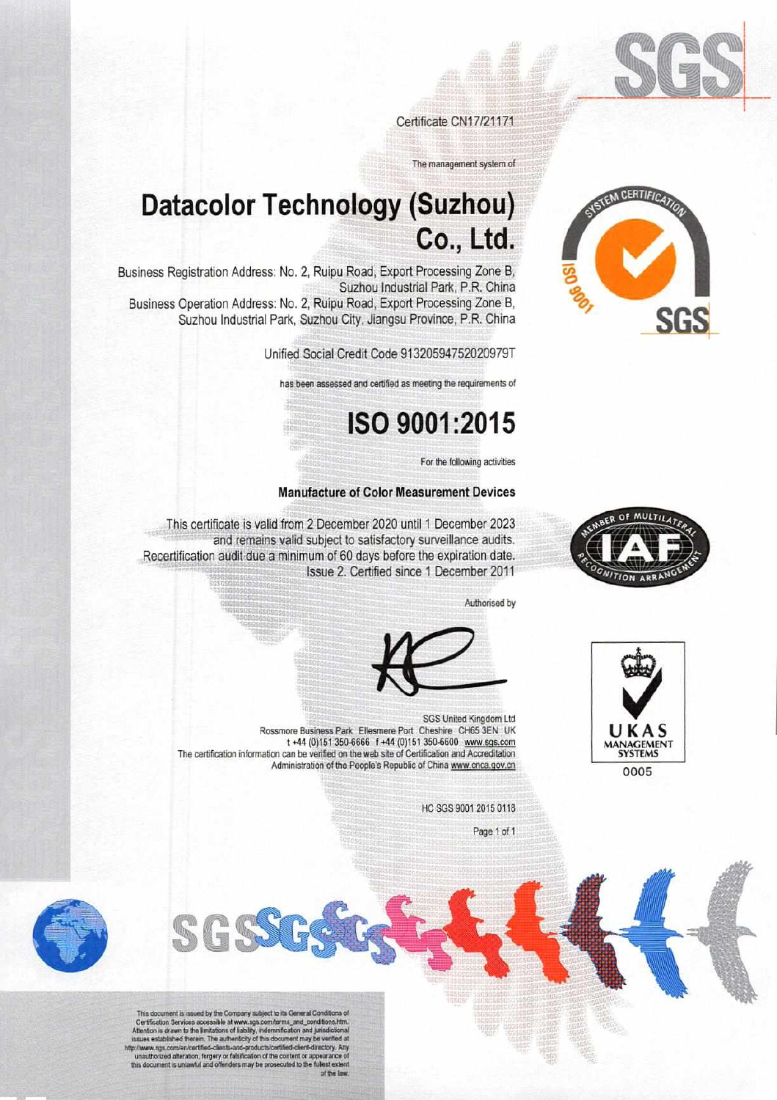

Certificate CN17/21171

The management system of

## **Datacolor Technology (Suzhou)** Co., Ltd.

Business Registration Address: No. 2, Ruipu Road, Export Processing Zone B, Suzhou Industrial Park, P.R. China Business Operation Address: No. 2, Ruipu Road, Export Processing Zone B,

Suzhou Industrial Park, Suzhou City, Jiangsu Province, P.R. China

Unified Social Credit Code 91320594752020979T

has been assessed and certified as meeting the requirements of

## ISO 9001:2015

For the following activities

#### **Manufacture of Color Measurement Devices**

This certificate is valid from 2 December 2020 until 1 December 2023 and remains valid subject to satisfactory surveillance audits. Recertification audit due a minimum of 60 days before the expiration date. Issue 2. Certified since 1 December 2011

Authorised by





HC SGS 9001 2015 0118

Page 1 of 1



This document is issued by the Company subject to its General Condition This document is visually by the Company support to its Seamler Conditions.<br>The Conditions here, conditions is drawn to the limitations of lability, indemnification and jurisdictional<br>states established therein. The authen







0005